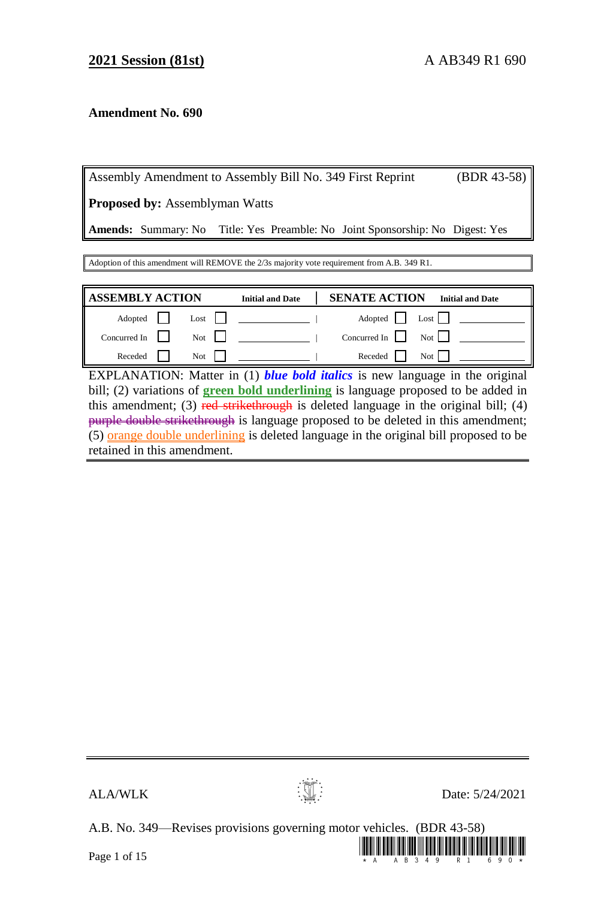# **Amendment No. 690**

Assembly Amendment to Assembly Bill No. 349 First Reprint (BDR 43-58)

**Proposed by:** Assemblyman Watts

**Amends:** Summary: No Title: Yes Preamble: No Joint Sponsorship: No Digest: Yes

Adoption of this amendment will REMOVE the 2/3s majority vote requirement from A.B. 349 R1.

| <b>ASSEMBLY ACTION</b> |               | <b>Initial and Date</b> | <b>SENATE ACTION</b> | <b>Initial and Date</b>                  |
|------------------------|---------------|-------------------------|----------------------|------------------------------------------|
| Adopted                | $\text{Last}$ |                         |                      | Adopted Lost                             |
| Concurred In $\ $      | Not           |                         |                      | Concurred In $\parallel$ Not $\parallel$ |
| Receded                | Not           |                         | Receded              | Not 1                                    |

EXPLANATION: Matter in (1) *blue bold italics* is new language in the original bill; (2) variations of **green bold underlining** is language proposed to be added in this amendment; (3) red strikethrough is deleted language in the original bill; (4) purple double strikethrough is language proposed to be deleted in this amendment; (5) orange double underlining is deleted language in the original bill proposed to be retained in this amendment.



 $\mathbf{A}$ LA/WLK  $\mathbf{D}$ ate: 5/24/2021

A.B. No. 349—Revises provisions governing motor vehicles. (BDR 43-58)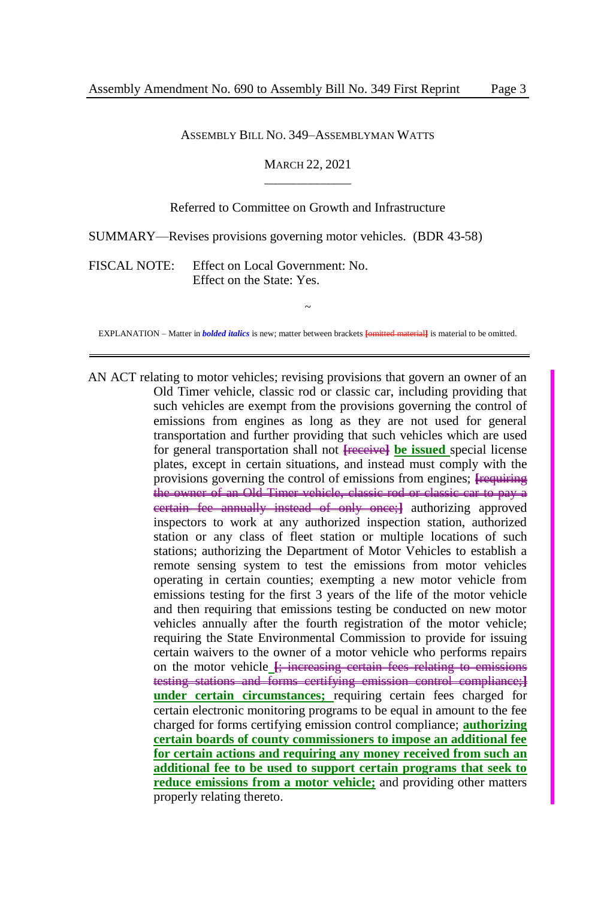#### ASSEMBLY BILL NO. 349–ASSEMBLYMAN WATTS

### MARCH 22, 2021  $\overline{\phantom{a}}$  , where  $\overline{\phantom{a}}$

### Referred to Committee on Growth and Infrastructure

SUMMARY—Revises provisions governing motor vehicles. (BDR 43-58)

FISCAL NOTE: Effect on Local Government: No. Effect on the State: Yes.

~ EXPLANATION – Matter in *bolded italics* is new; matter between brackets **[**omitted material**]** is material to be omitted.

AN ACT relating to motor vehicles; revising provisions that govern an owner of an Old Timer vehicle, classic rod or classic car, including providing that such vehicles are exempt from the provisions governing the control of emissions from engines as long as they are not used for general transportation and further providing that such vehicles which are used for general transportation shall not **[**receive**] be issued** special license plates, except in certain situations, and instead must comply with the provisions governing the control of emissions from engines; **[**requiring the owner of an Old Timer vehicle, classic rod or classic car to pay a certain fee annually instead of only once;**]** authorizing approved inspectors to work at any authorized inspection station, authorized station or any class of fleet station or multiple locations of such stations; authorizing the Department of Motor Vehicles to establish a remote sensing system to test the emissions from motor vehicles operating in certain counties; exempting a new motor vehicle from emissions testing for the first 3 years of the life of the motor vehicle and then requiring that emissions testing be conducted on new motor vehicles annually after the fourth registration of the motor vehicle; requiring the State Environmental Commission to provide for issuing certain waivers to the owner of a motor vehicle who performs repairs on the motor vehicle **[**; increasing certain fees relating to emissions testing stations and forms certifying emission control compliance;**] under certain circumstances;** requiring certain fees charged for certain electronic monitoring programs to be equal in amount to the fee charged for forms certifying emission control compliance; **authorizing certain boards of county commissioners to impose an additional fee for certain actions and requiring any money received from such an additional fee to be used to support certain programs that seek to reduce emissions from a motor vehicle;** and providing other matters properly relating thereto.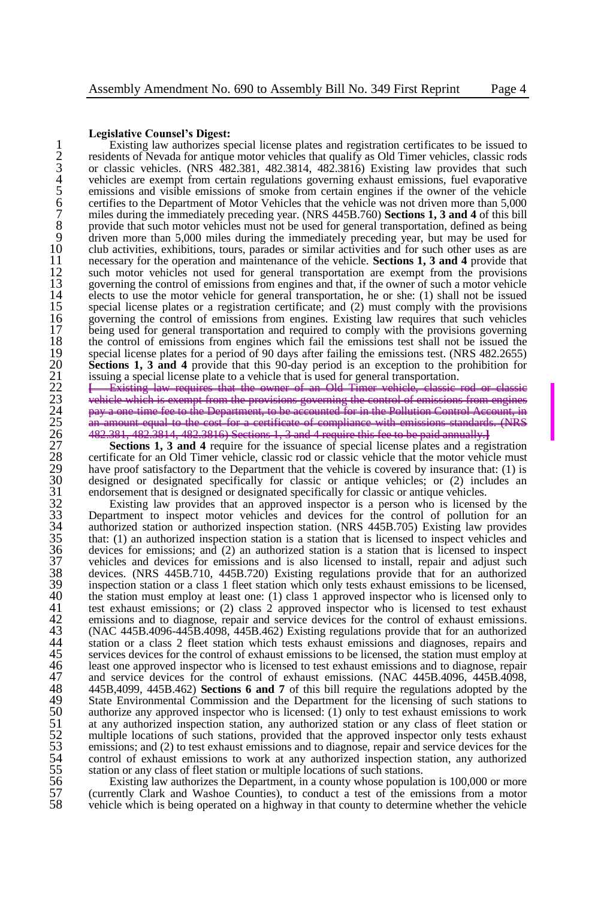#### **Legislative Counsel's Digest:**

Existing law authorizes special license plates and registration certificates to be issued to residents of Nevada for antique motor vehicles that qualify as Old Timer vehicles, classic rods or classic vehicles. (NRS 482.381 2 residents of Nevada for antique motor vehicles that qualify as Old Timer vehicles, classic rods or classic vehicles. (NRS  $\frac{482.381}{482.3814}$ ,  $\frac{482.3816}{482.3816}$ ) Existing law provides that such vehicles are exempt from certain regulations governing exhaust emissions, fuel evaporative 5 emissions and visible emissions of smoke from certain engines if the owner of the vehicle certifies to the Department of Motor Vehicles that the vehicle was not driven more than 5,000 7 miles during the immediately preceding year. (NRS 445B.760) **Sections 1, 3 and 4** of this bill 8 provide that such motor vehicles must not be used for general transportation, defined as being<br>9 driven more than 5.000 miles during the immediately preceding year, but may be used for 9 driven more than 5,000 miles during the immediately preceding year, but may be used for club activities, exhibitions, tours, parades or similar activities and for such other uses as are 10 club activities, exhibitions, tours, parades or similar activities and for such other uses as are<br>11 necessary for the operation and maintenance of the vehicle. **Sections 1.3 and 4** provide that 11 necessary for the operation and maintenance of the vehicle. **Sections 1, 3 and 4** provide that 12 such motor vehicles not used for general transportation are exempt from the provisions solution overwhich the control of emissions from engines and that if the owner of such a motor vehicle 13 governing the control of emissions from engines and that, if the owner of such a motor vehicle  $14$  elects to use the motor vehicle for general transportation, he or she; (1) shall not be issued 14 elects to use the motor vehicle for general transportation, he or she: (1) shall not be issued<br>15 special license plates or a registration certificate; and (2) must comply with the provisions 15 special license plates or a registration certificate; and (2) must comply with the provisions 16 special to provisions from engines. Existing law requires that such vehicles 16 governing the control of emissions from engines. Existing law requires that such vehicles 17 being used for general transportation and required to comply with the provisions governing 17 being used for general transportation and required to comply with the provisions governing<br>18 the control of emissions from engines which fail the emissions test shall not be issued the 18 the control of emissions from engines which fail the emissions test shall not be issued the special license plates for a period of 90 days after failing the emissions test. (NRS 482.2655) **Sections 1, 3 and 4** provide that this 90-day period is an exception to the prohibition for issuing a special license plate to a vehicle that is used for general transportation.

19 special license plates for a period of 90 days after failing the emissions test. (NRS 482.2655)<br>
20 **Sections 1, 3 and 4** provide that this 90-day period is an exception to the prohibition for<br>
21 issuing a special lic **Existing law requires that the owner of an Old Timer vehicle**, control or classic rotation of an Old Timer vehicle, rom the provisions governing the Department, to be accounted for in the Pollution<br>cost for a certificate of compliance with emissi-25 an amount equal to the cost for a certificate of compliance with emissions standards. (NRS 26 482.381, 482.3814, 482.3816) Sections 1, 3 and 4 require this fee to be paid annually.**]**

**Sections 1, 3 and 4** require for the issuance of special license plates and a registration certificate for an Old Timer vehicle, classic rod or classic vehicle that the motor vehicle must 29 have proof satisfactory to the Department that the vehicle is covered by insurance that: (1) is designed or designated specifically for classic or antique vehicles; or (2) includes an 30 designed or designated specifically for classic or antique vehicles; or (2) includes an endorsement that is designed or designated specifically for classic or antique vehicles.<br>32 Existing law provides that an approved endorsement that is designed or designated specifically for classic or antique vehicles.

32 Existing law provides that an approved inspector is a person who is licensed by the 33 Department to inspect motor vehicles and devices for the control of pollution for an authorized station or authorized inspection station. (NRS 445B.705) Existing law provides 34 authorized station or authorized inspection station. (NRS 445B.705) Existing law provides 35 that: (1) an authorized inspection station is a station that is licensed to inspect vehicles and devices for emissions; and (2) an authorized station is a station that is licensed to inspect 36 devices for emissions; and (2) an authorized station is a station that is licensed to inspect 37 vehicles and devices for emissions and is also licensed to install, repair and adjust such 38 devices. (NRS 445B.710, 445B.720) Existing regulations provide that for an authorized 38 devices. (NRS 445B.710, 445B.720) Existing regulations provide that for an authorized 39 inspection station or a class 1 fleet station which only tests exhaust emissions to be licensed, 40 the station must employ at least one: (1) class 1 approved inspector who is licensed only to test exhaust emissions; or (2) class 2 approved inspector who is licensed to test exhaust 41 test exhaust emissions; or (2) class 2 approved inspector who is licensed to test exhaust emissions and to diagnose, repair and service devices for the control of exhaust emissions. 42 emissions and to diagnose, repair and service devices for the control of exhaust emissions.<br>43 (NAC 445B.4096-445B.4098, 445B.462) Existing regulations provide that for an authorized 43 (NAC 445B.4096-445B.4098, 445B.462) Existing regulations provide that for an authorized 44 station or a class 2 fleet station which tests exhaust emissions and diagnoses, repairs and services devices for the control of exhaust emissions to be licensed, the station must employ at 45 services devices for the control of exhaust emissions to be licensed, the station must employ at least one approved inspector who is licensed to test exhaust emissions and to diagnose, repair and service devices for the least one approved inspector who is licensed to test exhaust emissions and to diagnose, repair 47 and service devices for the control of exhaust emissions. (NAC 445B.4096, 445B.4098, 48 445B.4099, 445B.462) **Sections 6 and 7** of this bill require the regulations adopted by the 445B,4099, 445B.462) **Sections 6 and 7** of this bill require the regulations adopted by the State Environmental Commission and the Department for the licensing of such stations to authorize any approved inspector who is li State Environmental Commission and the Department for the licensing of such stations to 50 authorize any approved inspector who is licensed: (1) only to test exhaust emissions to work at any authorized inspection station, any authorized station or any class of fleet station or 51 at any authorized inspection station, any authorized station or any class of fleet station or multiple locations of such stations, provided that the approved inspector only tests exhaust emissions; and (2) to test exhau multiple locations of such stations, provided that the approved inspector only tests exhaust emissions; and (2) to test exhaust emissions and to diagnose, repair and service devices for the 54 control of exhaust emissions to work at any authorized inspection station, any authorized station or any class of fleet station or multiple locations of such stations.

56 Existing law authorizes the Department, in a county whose population is 100,000 or more 57 (currently Clark and Washoe Counties), to conduct a test of the emissions from a motor vehicle which is being operated on a highway in that county to determine whether the vehicle 58 vehicle which is being operated on a highway in that county to determine whether the vehicle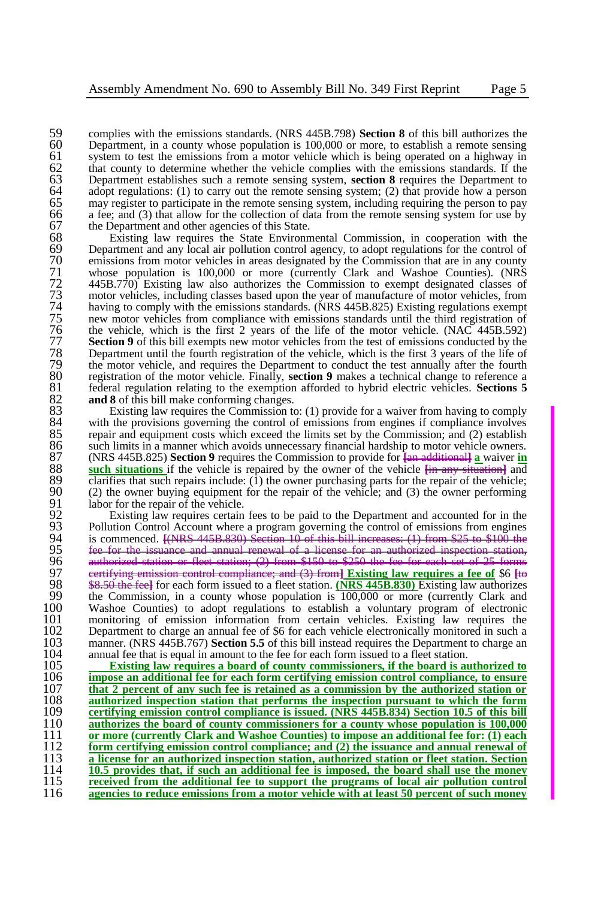59 complies with the emissions standards. (NRS 445B.798) **Section 8** of this bill authorizes the 60 Department, in a county whose population is  $100,000$  or more, to establish a remote sensing  $61$  system to test the emissions from a motor vehicle which is being operated on a highway in  $61$  system to test the emissions from a motor vehicle which is being operated on a highway in  $62$  that county to determine whether the vehicle complies with the emissions standards. If the 62 that county to determine whether the vehicle complies with the emissions standards. If the Department establishes such a remote sensing system, **section 8** requires the Department to 63 Department establishes such a remote sensing system, **section 8** requires the Department to adopt regulations: (1) to carry out the remote sensing system: (2) that provide how a person 64 adopt regulations: (1) to carry out the remote sensing system; (2) that provide how a person may register to participate in the remote sensing system, including requiring the person to pay 65 may register to participate in the remote sensing system, including requiring the person to pay 66 a fee; and (3) that allow for the collection of data from the remote sensing system for use by 67 the Department and other agencies of this State.<br>68 Existing law requires the State Environm

68 Existing law requires the State Environmental Commission, in cooperation with the 69 Department and any local air pollution control agency, to adopt regulations for the control of emissions from motor vehicles in areas designated by the Commission that are in any county 70 emissions from motor vehicles in areas designated by the Commission that are in any county<br>71 whose population is 100,000 or more (currently Clark and Washoe Counties). (NRS 71 whose population is 100,000 or more (currently Clark and Washoe Counties). (NRS  $72$  445B.770) Existing law also authorizes the Commission to exempt designated classes of motor vehicles, including classes based upon the year of manufacture of motor vehicles, from 73 motor vehicles, including classes based upon the year of manufacture of motor vehicles, from having to comply with the emissions standards. (NRS 445B.825) Existing regulations exempt 74 having to comply with the emissions standards. (NRS 445B.825) Existing regulations exempt new motor vehicles from compliance with emissions standards until the third registration of 75 new motor vehicles from compliance with emissions standards until the third registration of the vehicle, which is the first 2 years of the life of the motor vehicle. (NAC 445B.592) The vehicle, which is the first 2 years of the life of the motor vehicle. (NAC 445B.592)<br>77 **Section 9** of this bill exempts new motor vehicles from the test of emissions conducted by the<br>78 Department until the fourth reg **Section 9** of this bill exempts new motor vehicles from the test of emissions conducted by the 78 Department until the fourth registration of the vehicle, which is the first 3 years of the life of the motor vehicle, and requires the Department to conduct the test annually after the fourth 79 the motor vehicle, and requires the Department to conduct the test annually after the fourth registration of the motor vehicle. Finally, **section 9** makes a technical change to reference a 80 registration of the motor vehicle. Finally, **section 9** makes a technical change to reference a 81 federal regulation relating to the exemption afforded to hybrid electric vehicles. **Sections 5** 81 federal regulation relating to the exemption afforded to hybrid electric vehicles. **Sections 5**  82 **and 8** of this bill make conforming changes.<br>83 Existing law requires the Commission to

83 Existing law requires the Commission to: (1) provide for a waiver from having to comply 84 with the provisions governing the control of emissions from engines if compliance involves<br>85 repair and equipment costs which exceed the limits set by the Commission: and (2) establish 85 repair and equipment costs which exceed the limits set by the Commission; and (2) establish 86 such limits in a manner which avoids unnecessary financial hardship to motor vehicle owners. 86 such limits in a manner which avoids unnecessary financial hardship to motor vehicle owners.<br>87 (NRS 445B 825) **Section 9** requires the Commission to provide for  $\frac{1}{2}$  and  $\frac{1}{2}$  and  $\frac{1}{2}$  and  $\frac{1}{2}$  and 87 (NRS 445B.825) **Section 9** requires the Commission to provide for **[**an additional**] a** waiver **in** 88 **such situations** if the vehicle is repaired by the owner of the vehicle **[**in any situation**]** and 89 clarifies that such repairs include: (1) the owner purchasing parts for the repair of the vehicle;<br>90 (2) the owner buying equipment for the repair of the vehicle: and (3) the owner performing 90 (2) the owner buying equipment for the repair of the vehicle; and (3) the owner performing 91 labor for the repair of the vehicle.<br>92 Existing law requires certain

92 Existing law requires certain fees to be paid to the Department and accounted for in the 93 Pollution Control Account where a program governing the control of emissions from engines 93 Pollution Control Account where a program governing the control of emissions from engines<br>94 is commenced. <del>ENRS 445B 830) Section 10 of this bill increases: (1) from \$25 to \$100 the</del> 94 is commenced. **[**(NRS 445B.830) Section 10 of this bill increases: (1) from \$25 to \$100 the 95 fee for the issuance and annual renewal of a license for an authorized inspection station,<br>96 authorized station or fleet station; (2) from \$150 to \$250 the fee for each set of 25 forms 96 authorized station or fleet station; (2) from \$150 to \$250 the fee for each set of 25 forms 97 certifying emission control compliance; and (3) from**] Existing law requires a fee of** \$6 **[**to 98 \$8.50 the feel for each form issued to a fleet station. **(NRS 445B.830)** Existing law authorizes the Commission, in a county whose population is 100,000 or more (currently Clark and 99 the Commission, in a county whose population is  $\frac{100,000}{100,000}$  or more (currently Clark and  $\frac{100}{100,000}$  Washoe Counties) to adopt regulations to establish a voluntary program of electronic 100 Washoe Counties) to adopt regulations to establish a voluntary program of electronic 101 monitoring of emission information from certain vehicles. Existing law requires the 102 Department to charge an annual fee of \$6 for each vehicle electronically monitored in such a 102 Department to charge an annual fee of \$6 for each vehicle electronically monitored in such a<br>103 manner. (NRS 445B.767) Section 5.5 of this bill instead requires the Department to charge an 103 manner. (NRS 445B.767) **Section 5.5** of this bill instead requires the Department to charge an 104 annual fee that is equal in amount to the fee for each form issued to a fleet station. 104 annual fee that is equal in amount to the fee for each form issued to a fleet station.<br>105 **Existing law requires a board of county commissioners, if the board is at** 

 **Existing law requires a board of county commissioners, if the board is authorized to impose an additional fee for each form certifying emission control compliance, to ensure that 2 percent of any such fee is retained as a commission by the authorized station or** 108 **authorized inspection station that performs the inspection pursuant to which the form authorized inspection station that performs the inspection pursuant to which the form** 109 **certifying emission control compliance is issued.** (NRS 445B.834) Section 10.5 of this bill **certifying emission control compliance is issued. (NRS 445B.834) Section 10.5 of this bill**<br>110 **authorizes the board of county commissioners for a county whose population is 100.000 authorizes the board of county commissioners for a county whose population is 100,000 or more (currently Clark and Washoe Counties) to impose an additional fee for: (1) each form certifying emission control compliance; and (2) the issuance and annual renewal of a license for an authorized inspection station, authorized station or fleet station. Section 10.5 provides that, if such an additional fee is imposed, the board shall use the money received from the additional fee to support the programs of local air pollution control**  agencies to reduce emissions from a motor vehicle with at least 50 percent of such money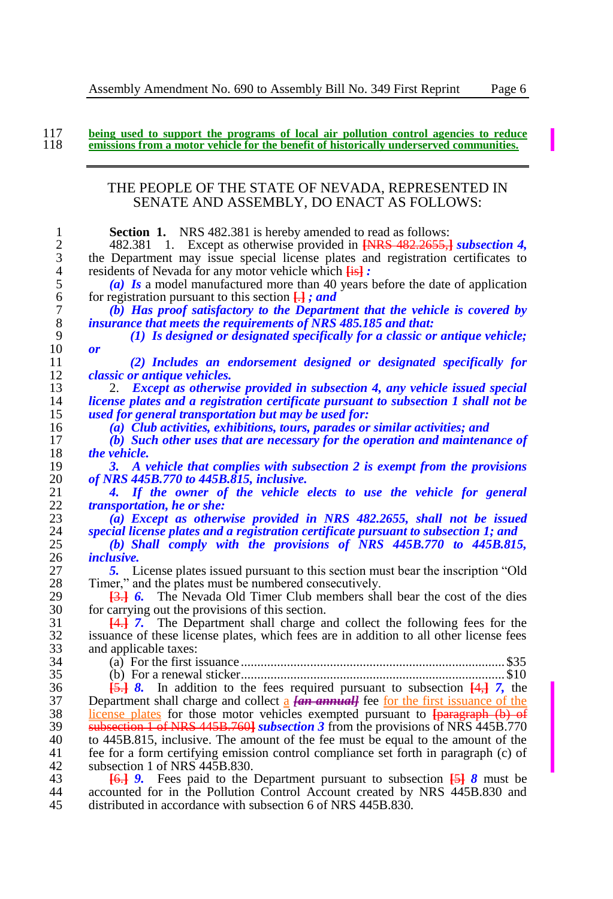117 being used to support the programs of local air pollution control agencies to reduce<br>118 emissions from a motor vehicle for the benefit of historically underserved communities.

## THE PEOPLE OF THE STATE OF NEVADA, REPRESENTED IN SENATE AND ASSEMBLY, DO ENACT AS FOLLOWS:

| 1                | <b>Section 1.</b> NRS 482.381 is hereby amended to read as follows:                                                                                                                       |
|------------------|-------------------------------------------------------------------------------------------------------------------------------------------------------------------------------------------|
| $\mathfrak{2}$   | 482.381 1. Except as otherwise provided in <b>[NRS 482.2655,] subsection 4</b> ,                                                                                                          |
| 3                | the Department may issue special license plates and registration certificates to                                                                                                          |
| 4                | residents of Nevada for any motor vehicle which <b>Fist</b> :                                                                                                                             |
| 5                | (a) Is a model manufactured more than 40 years before the date of application                                                                                                             |
| 6                | for registration pursuant to this section $\Box$ ; and                                                                                                                                    |
| $\boldsymbol{7}$ |                                                                                                                                                                                           |
|                  | (b) Has proof satisfactory to the Department that the vehicle is covered by                                                                                                               |
| $\,$ 8 $\,$      | insurance that meets the requirements of NRS 485.185 and that:                                                                                                                            |
| 9                | (1) Is designed or designated specifically for a classic or antique vehicle;                                                                                                              |
| 10               | $\boldsymbol{or}$                                                                                                                                                                         |
| 11               | (2) Includes an endorsement designed or designated specifically for                                                                                                                       |
| 12               | <i>classic or antique vehicles.</i>                                                                                                                                                       |
| 13               | 2. Except as otherwise provided in subsection 4, any vehicle issued special                                                                                                               |
| 14               | license plates and a registration certificate pursuant to subsection 1 shall not be                                                                                                       |
| 15               | used for general transportation but may be used for:                                                                                                                                      |
| 16               | (a) Club activities, exhibitions, tours, parades or similar activities; and                                                                                                               |
| 17               | (b) Such other uses that are necessary for the operation and maintenance of                                                                                                               |
| 18               | the vehicle.                                                                                                                                                                              |
| 19               | 3. A vehicle that complies with subsection 2 is exempt from the provisions                                                                                                                |
| 20               | of NRS 445B.770 to 445B.815, inclusive.                                                                                                                                                   |
|                  |                                                                                                                                                                                           |
| 21               | If the owner of the vehicle elects to use the vehicle for general<br>4.                                                                                                                   |
| 22               | <i>transportation, he or she:</i>                                                                                                                                                         |
| 23               | (a) Except as otherwise provided in NRS 482.2655, shall not be issued                                                                                                                     |
| 24               | special license plates and a registration certificate pursuant to subsection 1; and                                                                                                       |
| 25               | (b) Shall comply with the provisions of NRS 445B.770 to 445B.815,                                                                                                                         |
| 26               | <i>inclusive.</i>                                                                                                                                                                         |
| 27               | 5. License plates issued pursuant to this section must bear the inscription "Old"                                                                                                         |
| 28               | Timer," and the plates must be numbered consecutively.                                                                                                                                    |
| 29               | <b>[3.] 6.</b> The Nevada Old Timer Club members shall bear the cost of the dies                                                                                                          |
| 30               | for carrying out the provisions of this section.                                                                                                                                          |
| 31               | 4.4.1. The Department shall charge and collect the following fees for the                                                                                                                 |
| 32               | issuance of these license plates, which fees are in addition to all other license fees                                                                                                    |
| 33               | and applicable taxes:                                                                                                                                                                     |
| 34               |                                                                                                                                                                                           |
| 35               |                                                                                                                                                                                           |
|                  |                                                                                                                                                                                           |
| 36               | $\overline{5}$ , $\overline{6}$ , $\overline{6}$ and $\overline{6}$ and $\overline{6}$ to the fees required pursuant to subsection $\overline{4}$ , $\overline{4}$ , $\overline{7}$ , the |
| 37               | Department shall charge and collect $\frac{\alpha}{\alpha}$ [an annual] fee for the first issuance of the                                                                                 |
| 38               | license plates for those motor vehicles exempted pursuant to <b>{paragraph (b) of</b>                                                                                                     |
| 39               | subsection 1 of NRS 445B.760 subsection 3 from the provisions of NRS 445B.770                                                                                                             |
| 40               | to 445B.815, inclusive. The amount of the fee must be equal to the amount of the                                                                                                          |
| 41               | fee for a form certifying emission control compliance set forth in paragraph (c) of                                                                                                       |
| 42               | subsection 1 of NRS 445B.830.                                                                                                                                                             |
| 43               | Fees paid to the Department pursuant to subsection $\frac{5}{3}$ 8 must be<br><del>16.1</del> 9.                                                                                          |
| 44               | accounted for in the Pollution Control Account created by NRS 445B.830 and                                                                                                                |

distributed in accordance with subsection 6 of NRS 445B.830.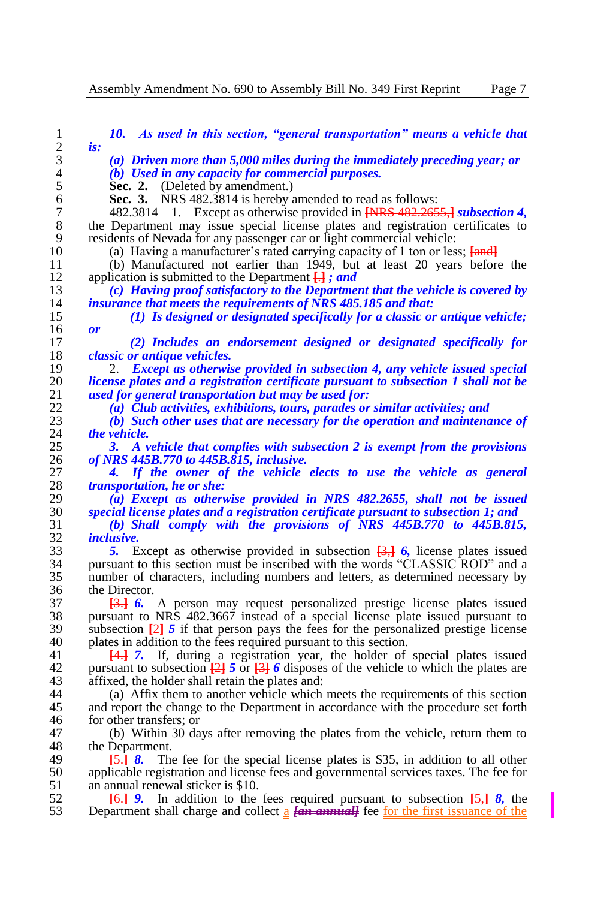I

| 1                | 10. As used in this section, "general transportation" means a vehicle that                                                                               |
|------------------|----------------------------------------------------------------------------------------------------------------------------------------------------------|
| $\overline{c}$   | is:                                                                                                                                                      |
| 3                | (a) Driven more than $5,000$ miles during the immediately preceding year; or                                                                             |
| $\overline{4}$   | (b) Used in any capacity for commercial purposes.                                                                                                        |
| 5                | <b>Sec. 2.</b> (Deleted by amendment.)                                                                                                                   |
| 6                | Sec. 3.<br>NRS 482.3814 is hereby amended to read as follows:                                                                                            |
| $\boldsymbol{7}$ | Except as otherwise provided in <b>[NRS</b> 482.2655,] subsection 4,<br>482.3814<br>1.                                                                   |
| 8                | the Department may issue special license plates and registration certificates to                                                                         |
| 9                | residents of Nevada for any passenger car or light commercial vehicle:                                                                                   |
| 10               | (a) Having a manufacturer's rated carrying capacity of 1 ton or less; <b>[and]</b>                                                                       |
| 11               | (b) Manufactured not earlier than 1949, but at least 20 years before the                                                                                 |
| 12               | application is submitted to the Department $\Box$ ; and                                                                                                  |
| 13               | (c) Having proof satisfactory to the Department that the vehicle is covered by                                                                           |
| 14               | insurance that meets the requirements of NRS 485.185 and that:                                                                                           |
| 15               | $(1)$ Is designed or designated specifically for a classic or antique vehicle;                                                                           |
| 16               | or                                                                                                                                                       |
| 17               | (2) Includes an endorsement designed or designated specifically for                                                                                      |
| 18               | <i>classic or antique vehicles.</i>                                                                                                                      |
| 19               | Except as otherwise provided in subsection 4, any vehicle issued special<br>2.                                                                           |
| 20               | license plates and a registration certificate pursuant to subsection 1 shall not be                                                                      |
| 21               | used for general transportation but may be used for:                                                                                                     |
| 22               | (a) Club activities, exhibitions, tours, parades or similar activities; and                                                                              |
| 23               | (b) Such other uses that are necessary for the operation and maintenance of                                                                              |
| 24               | the vehicle.                                                                                                                                             |
| 25               | A vehicle that complies with subsection 2 is exempt from the provisions<br>3.                                                                            |
| 26               | of NRS 445B.770 to 445B.815, inclusive.                                                                                                                  |
| 27<br>28         | If the owner of the vehicle elects to use the vehicle as general<br>4.                                                                                   |
|                  | <i>transportation, he or she:</i>                                                                                                                        |
| 29<br>30         | (a) Except as otherwise provided in NRS 482.2655, shall not be issued                                                                                    |
| 31               | special license plates and a registration certificate pursuant to subsection 1; and<br>(b) Shall comply with the provisions of NRS 445B.770 to 445B.815, |
| 32               | <i>inclusive.</i>                                                                                                                                        |
| 33               | 5. Except as otherwise provided in subsection $\overline{3}$ , 6, license plates issued                                                                  |
| 34               | pursuant to this section must be inscribed with the words "CLASSIC ROD" and a                                                                            |
| 35               | number of characters, including numbers and letters, as determined necessary by                                                                          |
| 36               | the Director.                                                                                                                                            |
| 37               | <b>43.1 6.</b> A person may request personalized prestige license plates issued                                                                          |
| 38               | pursuant to NRS 482.3667 instead of a special license plate issued pursuant to                                                                           |
| 39               | subsection $\frac{[2]}{[2]}$ 5 if that person pays the fees for the personalized prestige license                                                        |
| 40               | plates in addition to the fees required pursuant to this section.                                                                                        |
| 41               | If, during a registration year, the holder of special plates issued<br><del>14.1</del> 7.                                                                |
| 42               | pursuant to subsection $\frac{23}{2}$ 5 or $\frac{33}{2}$ 6 disposes of the vehicle to which the plates are                                              |
| 43               | affixed, the holder shall retain the plates and:                                                                                                         |
| 44               | (a) Affix them to another vehicle which meets the requirements of this section                                                                           |
| 45               | and report the change to the Department in accordance with the procedure set forth                                                                       |
| 46               | for other transfers; or                                                                                                                                  |
| 47               | (b) Within 30 days after removing the plates from the vehicle, return them to                                                                            |
| 48               | the Department.                                                                                                                                          |
| 49               | The fee for the special license plates is \$35, in addition to all other<br><del>15.1</del> 8.                                                           |
| 50               | applicable registration and license fees and governmental services taxes. The fee for                                                                    |
| 51               | an annual renewal sticker is \$10.                                                                                                                       |
| 52               | In addition to the fees required pursuant to subsection $\overline{5}$ , $\overline{8}$ , the<br><del>16.1</del> 9.                                      |
| 53               | Department shall charge and collect $\frac{1}{2}$ [an annual] fee for the first issuance of the                                                          |
|                  |                                                                                                                                                          |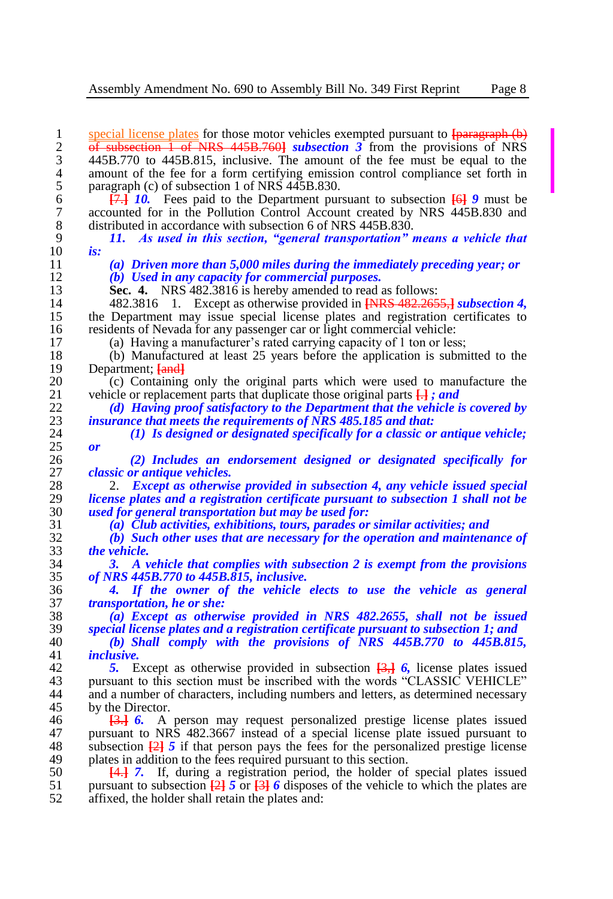1 special license plates for those motor vehicles exempted pursuant to  $\frac{1}{2}$  <del>of subsection 1 of NRS 445B.7601</del> *subsection 3* from the provisions of NRS 2 of subsection 1 of NRS 445B.760] *subsection 3* from the provisions of NRS 445B.770 to 445B.815, inclusive. The amount of the fee must be equal to the 3 445B.770 to 445B.815, inclusive. The amount of the fee must be equal to the 4 amount of the fee for a form certifying emission control compliance set forth in paragraph (c) of subsection 1 of NRS 445B.830. 5 paragraph (c) of subsection 1 of NRS 445B.830.<br>6  $\overline{47.1}$  10. Fees paid to the Department pur 6 **[**7.**]** *10.* Fees paid to the Department pursuant to subsection **[**6**]** *9* must be 7 accounted for in the Pollution Control Account created by NRS 445B.830 and distributed in accordance with subsection 6 of NRS 445B.830. 8 distributed in accordance with subsection 6 of NRS 445B.830.<br>9 11. As used in this section, "general transportation" 9 *11. As used in this section, "general transportation" means a vehicle that*  10 *is:* 11 *(a) Driven more than 5,000 miles during the immediately preceding year; or* 12 *(b) Used in any capacity for commercial purposes.* 13 **Sec. 4.** NRS 482.3816 is hereby amended to read as follows:<br>14 482.3816 1. Except as otherwise provided in **INRS 482.265** 14 482.3816 1. Except as otherwise provided in **[**NRS 482.2655,**]** *subsection 4,*  15 the Department may issue special license plates and registration certificates to residents of Nevada for any passenger car or light commercial vehicle: 16 residents of Nevada for any passenger car or light commercial vehicle:<br>17 (a) Having a manufacturer's rated carrying capacity of 1 ton or les 17 (a) Having a manufacturer's rated carrying capacity of 1 ton or less;<br>18 (b) Manufactured at least 25 years before the application is subm 18 (b) Manufactured at least 25 years before the application is submitted to the Department:  $\frac{1}{2}$ 19 Department; **[and]**<br>20 (c) Containing 20 (c) Containing only the original parts which were used to manufacture the vehicle or replacement parts that duplicate those original parts  $H : and$ 21 vehicle or replacement parts that duplicate those original parts  $\overrightarrow{H}$ ; and 22 (d) Having proof satisfactory to the Department that the vehicle is 22 *(d) Having proof satisfactory to the Department that the vehicle is covered by*  23 *insurance that meets the requirements of NRS 485.185 and that:* 24 *(1) Is designed or designated specifically for a classic or antique vehicle;*   $\frac{25}{26}$  *or* 26 *(2) Includes an endorsement designed or designated specifically for*  27 *classic or antique vehicles.* 28 2. *Except as otherwise provided in subsection 4, any vehicle issued special*  29 *license plates and a registration certificate pursuant to subsection 1 shall not be*  30 *used for general transportation but may be used for:* 31 *(a) Club activities, exhibitions, tours, parades or similar activities; and* 32 *(b) Such other uses that are necessary for the operation and maintenance of*  33 *the vehicle.* 34 *3. A vehicle that complies with subsection 2 is exempt from the provisions*  35 *of NRS 445B.770 to 445B.815, inclusive.* 36 *4. If the owner of the vehicle elects to use the vehicle as general*  37 *transportation, he or she:* 38 *(a) Except as otherwise provided in NRS 482.2655, shall not be issued*  39 *special license plates and a registration certificate pursuant to subsection 1; and* 40 *(b) Shall comply with the provisions of NRS 445B.770 to 445B.815,*   $inclusive.$ 42 *5.* Except as otherwise provided in subsection **[**3,**]** *6,* license plates issued 43 pursuant to this section must be inscribed with the words "CLASSIC VEHICLE"<br>44 and a number of characters, including numbers and letters, as determined necessary and a number of characters, including numbers and letters, as determined necessary 45 by the Director.<br>46  $\overline{3}$   $\overline{4}$  6. A 46 **[3.] 6.** A person may request personalized prestige license plates issued pursuant to NRS 482.3667 instead of a special license plate issued pursuant to 47 pursuant to NRS 482.3667 instead of a special license plate issued pursuant to subsection  $\frac{121}{21}$  5 if that person pays the fees for the personalized prestige license 48 subsection  $\frac{2}{2}$  *5* if that person pays the fees for the personalized prestige license plates in addition to the fees required pursuant to this section. 49 plates in addition to the fees required pursuant to this section.<br>50  $\overline{44}$ , 7. If, during a registration period, the holder of 50 **[**4.**]** *7.* If, during a registration period, the holder of special plates issued 51 pursuant to subsection  $\frac{1}{2}$   $\frac{1}{2}$   $\frac{1}{2}$   $\frac{1}{6}$  *6* disposes of the vehicle to which the plates are affixed, the holder shall retain the plates and:

affixed, the holder shall retain the plates and: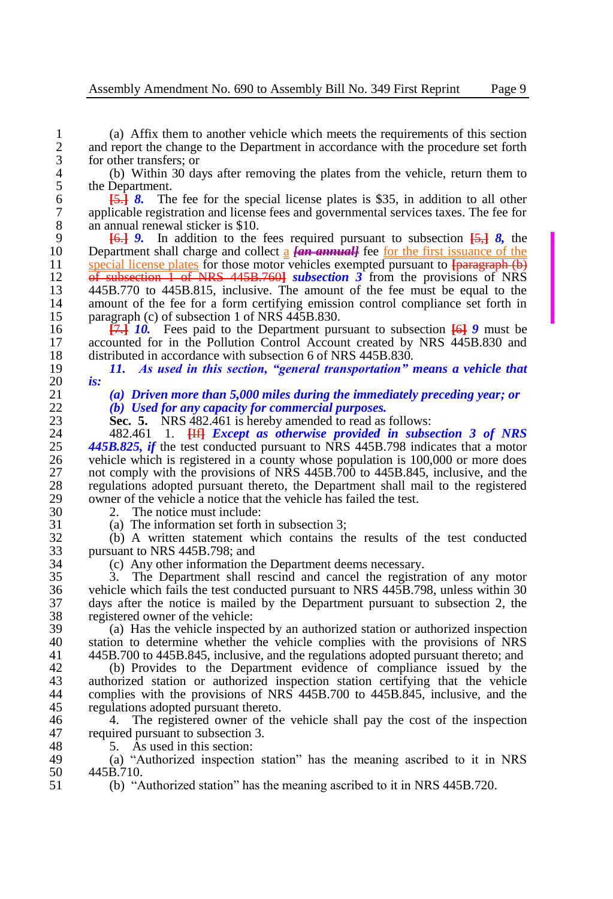1 (a) Affix them to another vehicle which meets the requirements of this section<br>2 and report the change to the Department in accordance with the procedure set forth 2 and report the change to the Department in accordance with the procedure set forth for other transfers; or 3 for other transfers; or<br>4 (b) Within 30 da

4 (b) Within 30 days after removing the plates from the vehicle, return them to 5 the Department.<br>6  $\overline{5}$ ,  $\overline{5}$ ,  $\overline{8}$ . The

 $\frac{5.5}{6}$  **8.** The fee for the special license plates is \$35, in addition to all other applicable registration and license fees and governmental services taxes. The fee for 7 applicable registration and license fees and governmental services taxes. The fee for an annual renewal sticker is \$10. 8 an annual renewal sticker is \$10.<br>9  $\frac{161}{161}$  9. In addition to the

9 **[**6.**]** *9.* In addition to the fees required pursuant to subsection **[**5,**]** *8,* the 10 Department shall charge and collect  $\frac{1}{2}$  *[an annual]* fee <u>for the first issuance of the</u> 11 special license plates for those motor vehicles exempted pursuant to **Ingraeranh** (b) 11 special license plates for those motor vehicles exempted pursuant to **[paragraph (b)**<br>12 **of subsection 1 of NRS** 445B 7601 *subsection* 3 from the provisions of NRS 12 of subsection 1 of NRS 445B.760**]** *subsection 3* from the provisions of NRS 13 445B.770 to 445B.815, inclusive. The amount of the fee must be equal to the amount of the fee for a form certifying emission control compliance set forth in 14 amount of the fee for a form certifying emission control compliance set forth in paragraph (c) of subsection 1 of NRS 445B.830. 15 paragraph (c) of subsection 1 of NRS 445B.830.<br>16  $\overline{17.1}$  10. Fees paid to the Department pur

16 **[**7.**]** *10.* Fees paid to the Department pursuant to subsection **[**6**]** *9* must be 17 accounted for in the Pollution Control Account created by NRS 445B.830 and distributed in accordance with subsection 6 of NRS 445B.830. 18 distributed in accordance with subsection 6 of NRS 445B.830.<br>19 11. As used in this section. "general transportation"

19 *11. As used in this section, "general transportation" means a vehicle that* 

20 *is:*

21 *(a) Driven more than 5,000 miles during the immediately preceding year; or* 22 *(b) Used for any capacity for commercial purposes.*

23 **Sec. 5.** NRS 482.461 is hereby amended to read as follows:<br>24 **482.461** 1. **HFI Except as otherwise provided in subse** 

24 482.461 1. **[If]** *Except as otherwise provided in subsection 3 of NRS*  $\frac{445R.825}{445R.825}$  *if the test conducted pursuant to NRS* 445R 798 indicates that a motor 25 *445B.825, if the test conducted pursuant to NRS 445B.798 indicates that a motor* vehicle which is registered in a county whose population is 100.000 or more does 26 vehicle which is registered in a county whose population is 100,000 or more does<br>27 not comply with the provisions of NRS 445B.700 to 445B.845, inclusive, and the 27 not comply with the provisions of NRS  $445B.700$  to  $445B.845$ , inclusive, and the regulations adopted pursuant thereto, the Department shall mail to the registered 28 regulations adopted pursuant thereto, the Department shall mail to the registered 29 owner of the vehicle a notice that the vehicle has failed the test.<br>30  $2.$  The notice must include:

30 2. The notice must include:<br>31 (a) The information set forth

31 (a) The information set forth in subsection 3;<br>32 (b) A written statement which contains the

32 (b) A written statement which contains the results of the test conducted 33 pursuant to NRS 445B.798; and<br>34 (c) Any other information the

34 (c) Any other information the Department deems necessary.<br>35 3. The Department shall rescind and cancel the registral

35 3. The Department shall rescind and cancel the registration of any motor 36 vehicle which fails the test conducted pursuant to NRS 445B.798, unless within 30<br>37 days after the notice is mailed by the Department pursuant to subsection 2, the 37 days after the notice is mailed by the Department pursuant to subsection 2, the 38 registered owner of the vehicle:<br>39 (a) Has the vehicle inspected

39 (a) Has the vehicle inspected by an authorized station or authorized inspection 40 station to determine whether the vehicle complies with the provisions of NRS<br>41 445B.700 to 445B.845, inclusive, and the regulations adopted pursuant thereto: and 41 445B.700 to 445B.845, inclusive, and the regulations adopted pursuant thereto; and

42 (b) Provides to the Department evidence of compliance issued by the authorized station or authorized inspection station certifying that the vehicle 43 authorized station or authorized inspection station certifying that the vehicle<br>44 complies with the provisions of NRS 445B.700 to 445B.845, inclusive, and the complies with the provisions of NRS  $445B.700$  to  $445B.845$ , inclusive, and the 45 regulations adopted pursuant thereto.<br>46 4 The registered owner of the

46 46 4. The registered owner of the vehicle shall pay the cost of the inspection 47 required pursuant to subsection 3. 47 required pursuant to subsection 3.<br>48 5. As used in this section:

48  $\overline{5}$ . As used in this section:<br>49  $\overline{6}$  (a) "Authorized inspection 49 (a) "Authorized inspection station" has the meaning ascribed to it in NRS 50  $445B.710$ .<br>51 (b) "A

51 (b) "Authorized station" has the meaning ascribed to it in NRS 445B.720.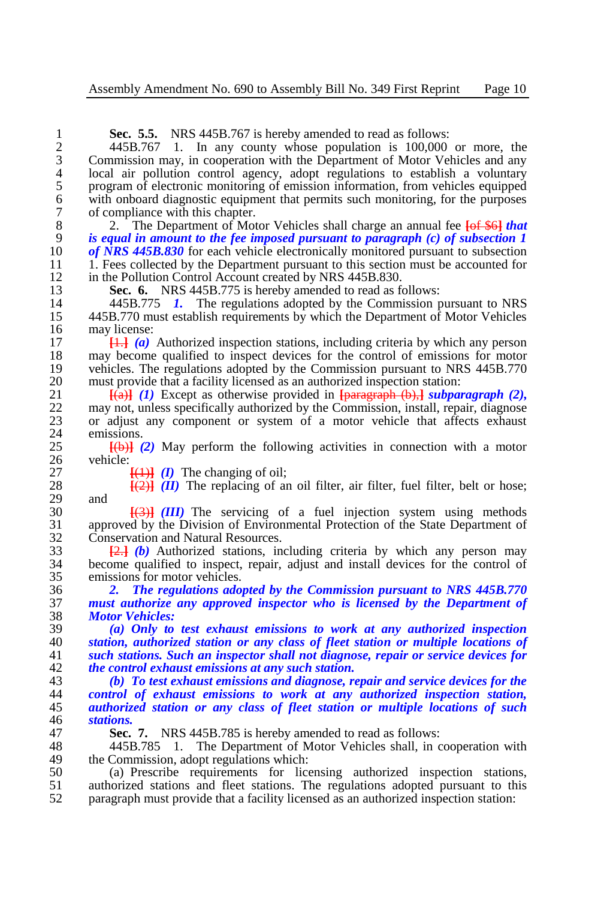| 1              | Sec. 5.5. NRS 445B.767 is hereby amended to read as follows:                                                      |
|----------------|-------------------------------------------------------------------------------------------------------------------|
| $\overline{c}$ | 445B.767 1.<br>In any county whose population is 100,000 or more, the                                             |
| 3              | Commission may, in cooperation with the Department of Motor Vehicles and any                                      |
| $\overline{4}$ | local air pollution control agency, adopt regulations to establish a voluntary                                    |
| 5              | program of electronic monitoring of emission information, from vehicles equipped                                  |
| 6              | with onboard diagnostic equipment that permits such monitoring, for the purposes                                  |
| 7              | of compliance with this chapter.                                                                                  |
| 8              | The Department of Motor Vehicles shall charge an annual fee <b>[of \$6]</b> that<br>2.                            |
| 9              | is equal in amount to the fee imposed pursuant to paragraph $(c)$ of subsection 1                                 |
| 10             | of NRS $445B.830$ for each vehicle electronically monitored pursuant to subsection                                |
| 11             | 1. Fees collected by the Department pursuant to this section must be accounted for                                |
| 12             | in the Pollution Control Account created by NRS 445B.830.                                                         |
| 13             | Sec. 6. NRS 445B.775 is hereby amended to read as follows:                                                        |
| 14             | 445B.775 1. The regulations adopted by the Commission pursuant to NRS                                             |
| 15             | 445B.770 must establish requirements by which the Department of Motor Vehicles                                    |
| 16             | may license:                                                                                                      |
| 17             | $\left  \frac{11}{111} \right $ (a) Authorized inspection stations, including criteria by which any person        |
| 18             | may become qualified to inspect devices for the control of emissions for motor                                    |
| 19             | vehicles. The regulations adopted by the Commission pursuant to NRS 445B.770                                      |
| 20             | must provide that a facility licensed as an authorized inspection station:                                        |
| 21             | $\overline{[a]}$ (1) Except as otherwise provided in $\overline{[paras]{map}}(b), \overline{j}$ subparagraph (2), |
| 22             | may not, unless specifically authorized by the Commission, install, repair, diagnose                              |
| 23             | or adjust any component or system of a motor vehicle that affects exhaust                                         |
| 24             | emissions.                                                                                                        |
| 25             | $\overline{f(b)}$ (2) May perform the following activities in connection with a motor                             |
| 26             | vehicle:                                                                                                          |
| 27             | $\overline{(1)}$ ( <i>I</i> ) The changing of oil;                                                                |
| 28             | $\frac{[2]}{[2]}$ ( <i>II</i> ) The replacing of an oil filter, air filter, fuel filter, belt or hose;            |
| 29             | and                                                                                                               |
| 30             | $\overline{[}(3)]$ (III) The servicing of a fuel injection system using methods                                   |
| 31             | approved by the Division of Environmental Protection of the State Department of                                   |
| 32             | Conservation and Natural Resources.                                                                               |
| 33             | $\frac{2.1}{2.1}$ (b) Authorized stations, including criteria by which any person may                             |
| 34             | become qualified to inspect, repair, adjust and install devices for the control of                                |
| 35             | emissions for motor vehicles.                                                                                     |
| 36             | The regulations adopted by the Commission pursuant to NRS 445B.770<br>2.                                          |
| 37             | must authorize any approved inspector who is licensed by the Department of                                        |
| 38             | <b>Motor Vehicles:</b>                                                                                            |
| 39             | (a) Only to test exhaust emissions to work at any authorized inspection                                           |
| 40             | station, authorized station or any class of fleet station or multiple locations of                                |
| 41             | such stations. Such an inspector shall not diagnose, repair or service devices for                                |
| 42             | the control exhaust emissions at any such station.                                                                |
| 43             | (b) To test exhaust emissions and diagnose, repair and service devices for the                                    |
| 44             | control of exhaust emissions to work at any authorized inspection station,                                        |
| 45             | authorized station or any class of fleet station or multiple locations of such                                    |
| 46             | stations.                                                                                                         |
| 47             | NRS 445B.785 is hereby amended to read as follows:<br>Sec. 7.                                                     |

 445B.785 1. The Department of Motor Vehicles shall, in cooperation with the Commission, adopt regulations which:

 (a) Prescribe requirements for licensing authorized inspection stations, authorized stations and fleet stations. The regulations adopted pursuant to this paragraph must provide that a facility licensed as an authorized inspection station: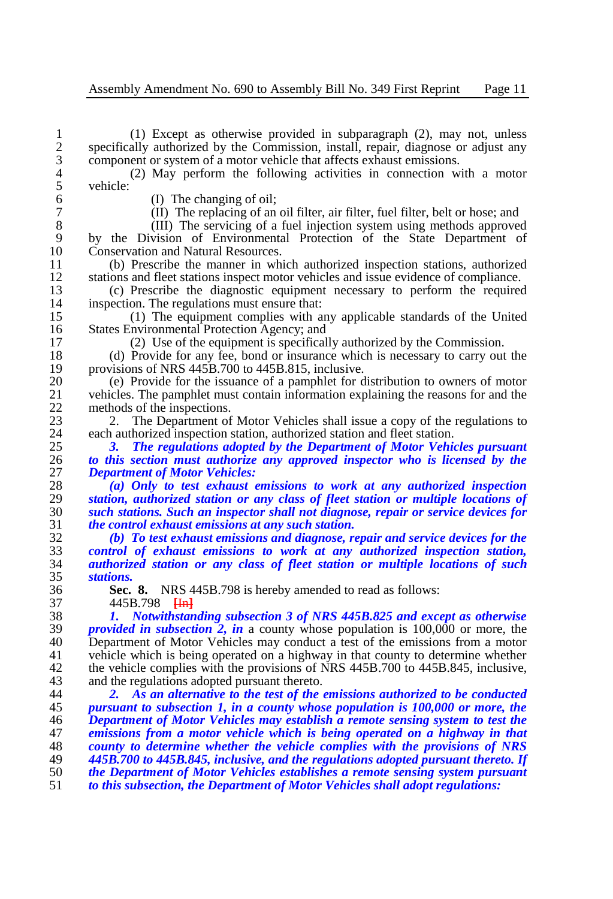1 (1) Except as otherwise provided in subparagraph (2), may not, unless 2 specifically authorized by the Commission, install, repair, diagnose or adjust any component or system of a motor vehicle that affects exhaust emissions. 3 component or system of a motor vehicle that affects exhaust emissions.<br>4 (2) May perform the following activities in connection wi

4 (2) May perform the following activities in connection with a motor 5 vehicle:

6 (I) The changing of oil;<br>7 (II) The replacing of an

7 (II) The replacing of an oil filter, air filter, fuel filter, belt or hose; and (III) The servicing of a fuel injection system using methods approved

8 (III) The servicing of a fuel injection system using methods approved<br>9 by the Division of Environmental Protection of the State Department of 9 by the Division of Environmental Protection of the State Department of 10 Conservation and Natural Resources. 10 Conservation and Natural Resources.<br>11 (b) Prescribe the manner in whi

11 (b) Prescribe the manner in which authorized inspection stations, authorized 12 stations and fleet stations inspect motor vehicles and issue evidence of compliance.<br>13 (c) Prescribe the diagnostic equipment necessary to perform the required

13 (c) Prescribe the diagnostic equipment necessary to perform the required 14 inspection. The regulations must ensure that:<br>15 (1) The equipment complies with a

15 (1) The equipment complies with any applicable standards of the United States Environmental Protection Agency: and 16 States Environmental Protection Agency; and<br>17 (2) Use of the equipment is specifical

17 (2) Use of the equipment is specifically authorized by the Commission.<br>18 (d) Provide for any fee, bond or insurance which is necessary to carry out

18 (d) Provide for any fee, bond or insurance which is necessary to carry out the provisions of NRS 445B.700 to 445B.815, inclusive. 19 provisions of NRS 445B.700 to 445B.815, inclusive.<br>20 (e) Provide for the issuance of a namphlet for d

20 (e) Provide for the issuance of a pamphlet for distribution to owners of motor vehicles. The pamphlet must contain information explaining the reasons for and the 21 vehicles. The pamphlet must contain information explaining the reasons for and the methods of the inspections. 22 methods of the inspections.<br>23 2. The Department of

23 2. The Department of Motor Vehicles shall issue a copy of the regulations to each authorized inspection station, authorized station and fleet station. 24 each authorized inspection station, authorized station and fleet station.<br>25 3. The regulations adopted by the Department of Motor Vehic

25 *3. The regulations adopted by the Department of Motor Vehicles pursuant*  26 *to this section must authorize any approved inspector who is licensed by the*  27 *Department of Motor Vehicles:*

 *(a) Only to test exhaust emissions to work at any authorized inspection station, authorized station or any class of fleet station or multiple locations of such stations. Such an inspector shall not diagnose, repair or service devices for the control exhaust emissions at any such station.*

 *(b) To test exhaust emissions and diagnose, repair and service devices for the control of exhaust emissions to work at any authorized inspection station, authorized station or any class of fleet station or multiple locations of such*  stations.

36 **Sec. 8.** NRS 445B.798 is hereby amended to read as follows:

37 445B.798 **[**In**]** 38 *1. Notwithstanding subsection 3 of NRS 445B.825 and except as otherwise*  39 *provided in subsection* 2, *in* a county whose population is 100,000 or more, the 40 **Department** of Motor Vehicles may conduct a test of the emissions from a motor 40 Department of Motor Vehicles may conduct a test of the emissions from a motor<br>41 vehicle which is being operated on a highway in that county to determine whether vehicle which is being operated on a highway in that county to determine whether 42 the vehicle complies with the provisions of NRS 445B.700 to 445B.845, inclusive,<br>43 and the regulations adopted pursuant thereto.

43 and the regulations adopted pursuant thereto.<br>44 2. As an alternative to the test of the *2. As an alternative to the test of the emissions authorized to be conducted pursuant to subsection 1, in a county whose population is 100,000 or more, the Department of Motor Vehicles may establish a remote sensing system to test the emissions from a motor vehicle which is being operated on a highway in that county to determine whether the vehicle complies with the provisions of NRS 445B.700 to 445B.845, inclusive, and the regulations adopted pursuant thereto. If the Department of Motor Vehicles establishes a remote sensing system pursuant to this subsection, the Department of Motor Vehicles shall adopt regulations:*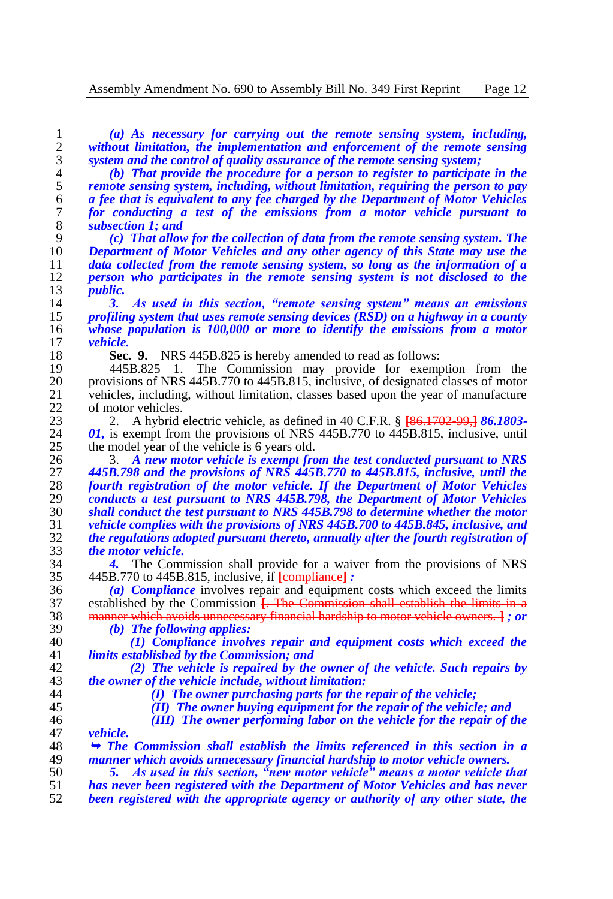*(a) As necessary for carrying out the remote sensing system, including, without limitation, the implementation and enforcement of the remote sensing system and the control of quality assurance of the remote sensing system;*

 *(b) That provide the procedure for a person to register to participate in the remote sensing system, including, without limitation, requiring the person to pay a fee that is equivalent to any fee charged by the Department of Motor Vehicles for conducting a test of the emissions from a motor vehicle pursuant to subsection 1; and* 

 *(c) That allow for the collection of data from the remote sensing system. The Department of Motor Vehicles and any other agency of this State may use the data collected from the remote sensing system, so long as the information of a person who participates in the remote sensing system is not disclosed to the public.*

 *3. As used in this section, "remote sensing system" means an emissions profiling system that uses remote sensing devices (RSD) on a highway in a county whose population is 100,000 or more to identify the emissions from a motor vehicle.*

18 **Sec. 9.** NRS 445B.825 is hereby amended to read as follows:<br>19 445B.825 1. The Commission may provide for exemp

19 445B.825 1. The Commission may provide for exemption from the<br>20 provisions of NRS 445B.770 to 445B.815, inclusive, of designated classes of motor provisions of NRS 445B.770 to 445B.815, inclusive, of designated classes of motor 21 vehicles, including, without limitation, classes based upon the year of manufacture of motor vehicles. 22 of motor vehicles.<br>23 2. A hybrid

 2. A hybrid electric vehicle, as defined in 40 C.F.R. § **[**86.1702-99,**]** *86.1803- 01,* is exempt from the provisions of NRS 445B.770 to 445B.815, inclusive, until the model year of the vehicle is 6 years old. 25 the model year of the vehicle is 6 years old.<br>26 3. A new motor vehicle is exempt from

 3. *A new motor vehicle is exempt from the test conducted pursuant to NRS 445B.798 and the provisions of NRS 445B.770 to 445B.815, inclusive, until the fourth registration of the motor vehicle. If the Department of Motor Vehicles conducts a test pursuant to NRS 445B.798, the Department of Motor Vehicles shall conduct the test pursuant to NRS 445B.798 to determine whether the motor vehicle complies with the provisions of NRS 445B.700 to 445B.845, inclusive, and the regulations adopted pursuant thereto, annually after the fourth registration of the motor vehicle.*

**4.** The Commission shall provide for a waiver from the provisions of NRS 445B.770 to 445B.815, inclusive, if **[compliance]**: 445B.770 to 445B.815, inclusive, if **[**compliance**]** *:*

 *(a) Compliance* involves repair and equipment costs which exceed the limits 37 established by the Commission **[. The Commission shall establish the limits in a** 38 **manner which avoids unnecessary financial hardship to motor vehicle owners. 1 :** *or* manner which avoids unnecessary financial hardship to motor vehicle owners. **]** *; or* 

*(b) The following applies:*

 *(1) Compliance involves repair and equipment costs which exceed the limits established by the Commission; and*

 *(2) The vehicle is repaired by the owner of the vehicle. Such repairs by the owner of the vehicle include, without limitation:*

*(I) The owner purchasing parts for the repair of the vehicle;*

*(II) The owner buying equipment for the repair of the vehicle; and*

*(III) The owner performing labor on the vehicle for the repair of the* 

47 *vehicle.*<br>48 → The *The Commission shall establish the limits referenced in this section in a*  49 *manner which avoids unnecessary financial hardship to motor vehicle owners.*<br>50 5. As used in this section, "new motor vehicle" means a motor vehicle ti

 *5. As used in this section, "new motor vehicle" means a motor vehicle that has never been registered with the Department of Motor Vehicles and has never been registered with the appropriate agency or authority of any other state, the*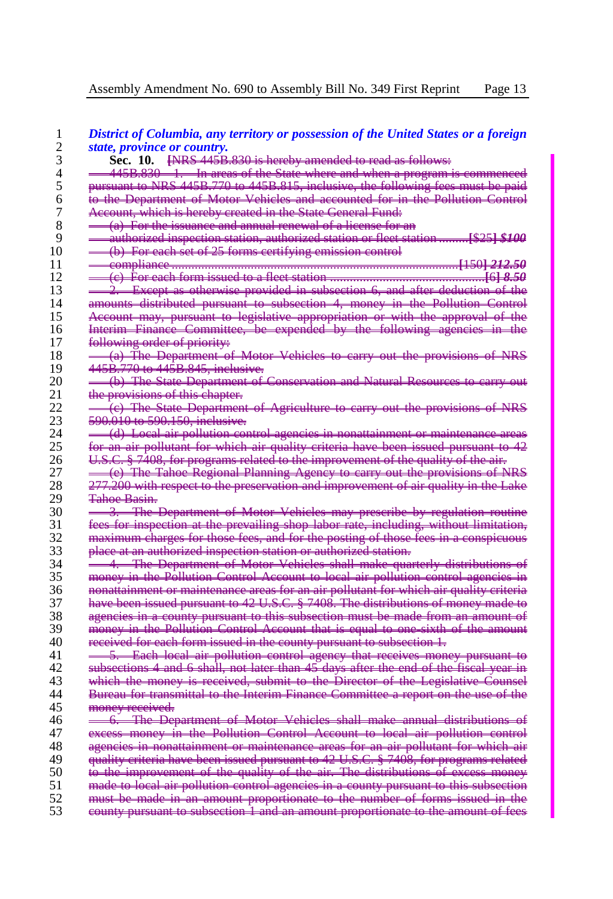| 1  | District of Columbia, any territory or possession of the United States or a foreign                           |
|----|---------------------------------------------------------------------------------------------------------------|
| 2  | state, province or country.                                                                                   |
| 3  | Sec. 10. <b>ENRS 445B.830</b> is hereby amended to read as follows:                                           |
| 4  | 445B.830 - 1. In areas of the State where and when a program is commenced                                     |
| 5  | pursuant to NRS 445B.770 to 445B.815, inclusive, the following fees must be paid                              |
| 6  | to the Department of Motor Vehicles and accounted for in the Pollution Control                                |
| 7  | Account, which is hereby created in the State General Fund-                                                   |
| 8  | <del>. (a) For the issuance and annual renewal of a license for an</del>                                      |
| 9  | authorized inspection station, authorized station or flect station  [\$25] \$100                              |
| 10 | (b) For each set of 25 forms certifying emission control                                                      |
| 11 |                                                                                                               |
| 12 |                                                                                                               |
| 13 | Except as otherwise provided in subsection 6, and after deduction of the                                      |
| 14 | amounts distributed pursuant to subsection 4, money in the Pollution Control                                  |
| 15 | <b>Account may, pursuant to legislative appropriation or with the approval of the</b>                         |
| 16 | Interim Finance Committee, be expended by the following agencies in the                                       |
| 17 | following order of priority:                                                                                  |
| 18 | (a) The Department of Motor Vehicles to earry out the provisions of NRS                                       |
| 19 | 445B.770 to 445B.845, inclusive.                                                                              |
| 20 | (b) The State Department of Conservation and Natural Resources to carry out                                   |
| 21 |                                                                                                               |
| 22 | the provisions of this chapter.<br>(e) The State Department of Agriculture to carry out the provisions of NRS |
| 23 |                                                                                                               |
|    | 590.010 to 590.150, inclusive.                                                                                |
| 24 | (d) Local air pollution control agencies in nonattainment or maintenance areas                                |
| 25 | for an air pollutant for which air quality criteria have been issued pursuant to 42                           |
| 26 | U.S.C. § 7408, for programs related to the improvement of the quality of the air.                             |
| 27 | (e) The Tahoe Regional Planning Agency to carry out the provisions of NRS                                     |
| 28 | <del>277.200 with respect to the preservation and improvement of air quality in the Lake</del>                |
| 29 | <del>Tahoe Basin.</del>                                                                                       |
| 30 | The Department of Motor Vehicles may prescribe by regulation routine<br>3.                                    |
| 31 | fees for inspection at the prevailing shop labor rate, including, without limitation,                         |
| 32 | maximum charges for those fees, and for the posting of those fees in a conspicuous                            |
| 33 | place at an authorized inspection station or authorized station.                                              |
| 34 | 4. The Department of Motor Vehicles shall make quarterly distributions of                                     |
| 35 | money in the Pollution Control Account to local air pollution control agencies in                             |
| 36 | nonattainment or maintenance areas for an air pollutant for which air quality criteria                        |
| 37 | have been issued pursuant to 42 U.S.C. § 7408. The distributions of money made to                             |
| 38 | agencies in a county pursuant to this subsection must be made from an amount of                               |
| 39 | money in the Pollution Control Account that is equal to one sixth of the amount                               |
| 40 | received for each form issued in the county pursuant to subsection 1.                                         |
| 41 | 5. Each local air pollution control agency that receives money pursuant to                                    |
| 42 | subsections 4 and 6 shall, not later than 45 days after the end of the fiscal year in                         |
| 43 | which the money is received, submit to the Director of the Legislative Counsel                                |
| 44 | Bureau for transmittal to the Interim Finance Committee a report on the use of the                            |
| 45 | money received.                                                                                               |
| 46 | -6. The Department of Motor Vehicles shall make annual distributions of                                       |
| 47 | excess money in the Pollution Control Account to local air pollution control                                  |
| 48 | agencies in nonattainment or maintenance areas for an air pollutant for which air                             |
| 49 | quality criteria have been issued pursuant to 42 U.S.C. § 7408, for programs related                          |
| 50 | to the improvement of the quality of the air. The distributions of excess money                               |
| 51 | made to local air pollution control agencies in a county pursuant to this subsection                          |
| 52 | must be made in an amount proportionate to the number of forms issued in the                                  |
| 53 | county pursuant to subsection 1 and an amount proportionate to the amount of fees                             |
|    |                                                                                                               |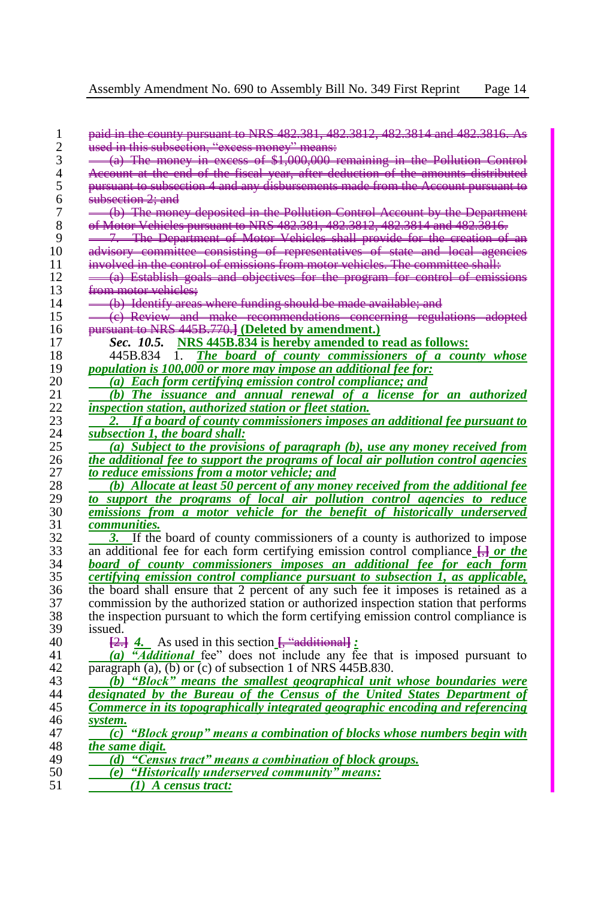| used in this subsection, "excess money" means:                                        |
|---------------------------------------------------------------------------------------|
| $-(a)$ The money in excess of \$1,000,000 remaining in the Pollution Control          |
| Account at the end of the fiscal year, after deduction of the amounts distributed     |
| pursuant to subsection 4 and any disbursements made from the Account pursuant to      |
| <del>subsection 2: and</del>                                                          |
| (b) The money deposited in the Pollution Control Account by the Department            |
| of Motor Vehicles pursuant to NRS 482.381, 482.3812, 482.3814 and 482.3816.           |
| 7. The Department of Motor Vehicles shall provide for the creation of an              |
| advisory committee consisting of representatives of state and local agencies          |
| involved in the control of emissions from motor vehicles. The committee shall:        |
| (a) Establish goals and objectives for the program for control of emissions           |
| from motor vehicles:                                                                  |
| (b) Identify areas where funding should be made available; and                        |
| (e) Review and make recommendations concerning regulations adopted                    |
| pursuant to NRS 445B.770.] (Deleted by amendment.)                                    |
| Sec. 10.5. NRS 445B.834 is hereby amended to read as follows:                         |
| 445B.834 1. The board of county commissioners of a county whose                       |
| <i>population is 100,000 or more may impose an additional fee for:</i>                |
| (a) Each form certifying emission control compliance; and                             |
| (b) The issuance and annual renewal of a license for an authorized                    |
| inspection station, authorized station or fleet station.                              |
| If a board of county commissioners imposes an additional fee pursuant to              |
| subsection 1, the board shall:                                                        |
| (a) Subject to the provisions of paragraph (b), use any money received from           |
| the additional fee to support the programs of local air pollution control agencies    |
| to reduce emissions from a motor vehicle; and                                         |
| (b) Allocate at least 50 percent of any money received from the additional fee        |
| to support the programs of local air pollution control agencies to reduce             |
| emissions from a motor vehicle for the benefit of historically underserved            |
| <i>communities.</i>                                                                   |
| If the board of county commissioners of a county is authorized to impose              |
| an additional fee for each form certifying emission control compliance $\Box$ or the  |
| board of county commissioners imposes an additional fee for each form                 |
| certifying emission control compliance pursuant to subsection 1, as applicable,       |
| the board shall ensure that 2 percent of any such fee it imposes is retained as a     |
| commission by the authorized station or authorized inspection station that performs   |
| the inspection pursuant to which the form certifying emission control compliance is   |
| issued.                                                                               |
| $\frac{[2]}{[2]}$ 4. As used in this section $\frac{[4]}{[4]}$ :                      |
| (a) "Additional fee" does not include any fee that is imposed pursuant to             |
| paragraph (a), (b) or (c) of subsection 1 of NRS 445B.830.                            |
| (b) "Block" means the smallest geographical unit whose boundaries were                |
| designated by the Bureau of the Census of the United States Department of             |
| Commerce in its topographically integrated geographic encoding and referencing        |
| system.                                                                               |
| $\overline{(c)}$ "Block group" means a combination of blocks whose numbers begin with |
| the same digit.                                                                       |
| "Census tract" means a combination of block groups.<br>(d)                            |
| "Historically underserved community" means:<br>(e)                                    |
|                                                                                       |